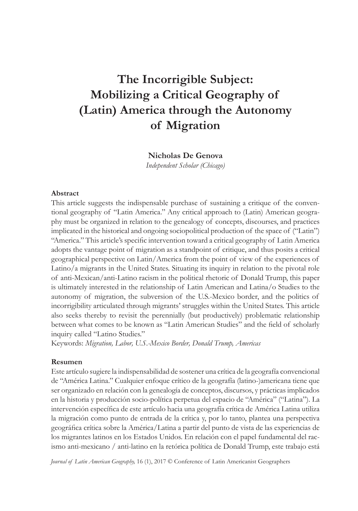# **The Incorrigible Subject: Mobilizing a Critical Geography of (Latin) America through the Autonomy of Migration**

**Nicholas De Genova**

*Independent Scholar (Chicago)*

# **Abstract**

This article suggests the indispensable purchase of sustaining a critique of the conventional geography of "Latin America." Any critical approach to (Latin) American geography must be organized in relation to the genealogy of concepts, discourses, and practices implicated in the historical and ongoing sociopolitical production of the space of ("Latin") "America." This article's specifc intervention toward a critical geography of Latin America adopts the vantage point of migration as a standpoint of critique, and thus posits a critical geographical perspective on Latin/America from the point of view of the experiences of Latino/a migrants in the United States. Situating its inquiry in relation to the pivotal role of anti-Mexican/anti-Latino racism in the political rhetoric of Donald Trump, this paper is ultimately interested in the relationship of Latin American and Latina/o Studies to the autonomy of migration, the subversion of the U.S.-Mexico border, and the politics of incorrigibility articulated through migrants' struggles within the United States. This article also seeks thereby to revisit the perennially (but productively) problematic relationship between what comes to be known as "Latin American Studies" and the feld of scholarly inquiry called "Latino Studies."

Keywords: *Migration, Labor, U.S.-Mexico Border, Donald Trump, Americas*

# **Resumen**

Este artículo sugiere la indispensabilidad de sostener una crítica de la geografía convencional de "América Latina." Cualquier enfoque crítico de la geografía (latino-)americana tiene que ser organizado en relación con la genealogía de conceptos, discursos, y prácticas implicados en la historia y producción socio-política perpetua del espacio de "América" ("Latina"). La intervención específca de este artículo hacia una geografía crítica de América Latina utiliza la migración como punto de entrada de la crítica y, por lo tanto, plantea una perspectiva geográfca crítica sobre la América/Latina a partir del punto de vista de las experiencias de los migrantes latinos en los Estados Unidos. En relación con el papel fundamental del racismo anti-mexicano / anti-latino en la retórica política de Donald Trump, este trabajo está

*Journal of Latin American Geography,* 16 (1), 2017 © Conference of Latin Americanist Geographers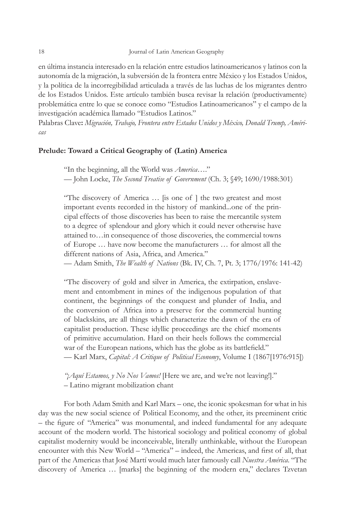en última instancia interesado en la relación entre estudios latinoamericanos y latinos con la autonomía de la migración, la subversión de la frontera entre México y los Estados Unidos, y la política de la incorregibilidad articulada a través de las luchas de los migrantes dentro de los Estados Unidos. Este artículo también busca revisar la relación (productivamente) problemática entre lo que se conoce como "Estudios Latinoamericanos" y el campo de la investigación académica llamado "Estudios Latinos."

Palabras Clave**:** *Migración, Trabajo, Frontera entre Estados Unidos y México, Donald Trump, Américas* 

# **Prelude: Toward a Critical Geography of (Latin) America**

"In the beginning, all the World was *America…*." — John Locke, *The Second Treatise of Government* (Ch. 3; §49; 1690/1988:301)

"The discovery of America … [is one of ] the two greatest and most important events recorded in the history of mankind...one of the principal effects of those discoveries has been to raise the mercantile system to a degree of splendour and glory which it could never otherwise have attained to…in consequence of those discoveries, the commercial towns of Europe … have now become the manufacturers … for almost all the different nations of Asia, Africa, and America." — Adam Smith, *The Wealth of Nations* (Bk. IV, Ch. 7, Pt. 3; 1776/1976: 141-42)

"The discovery of gold and silver in America, the extirpation, enslavement and entombment in mines of the indigenous population of that continent, the beginnings of the conquest and plunder of India, and the conversion of Africa into a preserve for the commercial hunting of blackskins, are all things which characterize the dawn of the era of capitalist production. These idyllic proceedings are the chief moments of primitive accumulation. Hard on their heels follows the commercial war of the European nations, which has the globe as its battlefield." — Karl Marx, *Capital: A Critique of Political Economy*, Volume I (1867[1976:915])

*"¡Aquí Estamos, y No Nos Vamos!* [Here we are, and we're not leaving!]." – Latino migrant mobilization chant

For both Adam Smith and Karl Marx – one, the iconic spokesman for what in his day was the new social science of Political Economy, and the other, its preeminent critic – the fgure of "America" was monumental, and indeed fundamental for any adequate account of the modern world. The historical sociology and political economy of global capitalist modernity would be inconceivable, literally unthinkable, without the European encounter with this New World – "America" – indeed, the Americas, and frst of all, that part of the Americas that José Martí would much later famously call *Nuestra América*. "The discovery of America … [marks] the beginning of the modern era," declares Tzvetan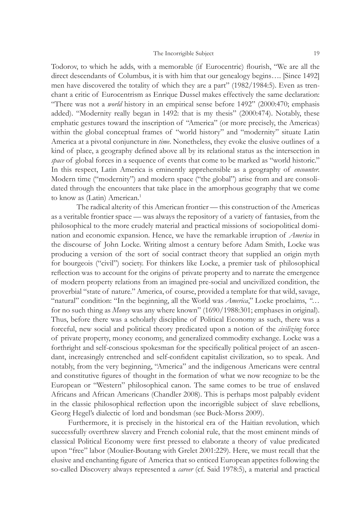Todorov, to which he adds, with a memorable (if Eurocentric) fourish, "We are all the direct descendants of Columbus, it is with him that our genealogy begins…. [Since 1492] men have discovered the totality of which they are a part" (1982/1984:5). Even as trenchant a critic of Eurocentrism as Enrique Dussel makes effectively the same declaration: "There was not a *world* history in an empirical sense before 1492" (2000:470; emphasis added). "Modernity really began in 1492: that is my thesis" (2000:474). Notably, these emphatic gestures toward the inscription of "America" (or more precisely, the Americas) within the global conceptual frames of "world history" and "modernity" situate Latin America at a pivotal conjuncture in *time*. Nonetheless, they evoke the elusive outlines of a kind of place, a geography defned above all by its relational status as the intersection in *space* of global forces in a sequence of events that come to be marked as "world historic." In this respect, Latin America is eminently apprehensible as a geography of *encounter*. Modern time ("modernity") and modern space ("the global") arise from and are consolidated through the encounters that take place in the amorphous geography that we come to know as (Latin) American.<sup>1</sup>

The radical alterity of this American frontier — this construction of the Americas as a veritable frontier space — was always the repository of a variety of fantasies, from the philosophical to the more crudely material and practical missions of sociopolitical domination and economic expansion. Hence, we have the remarkable irruption of *America* in the discourse of John Locke. Writing almost a century before Adam Smith, Locke was producing a version of the sort of social contract theory that supplied an origin myth for bourgeois ("civil") society. For thinkers like Locke, a premier task of philosophical refection was to account for the origins of private property and to narrate the emergence of modern property relations from an imagined pre-social and uncivilized condition, the proverbial "state of nature." America, of course, provided a template for that wild, savage, "natural" condition: "In the beginning, all the World was *America*," Locke proclaims, *"…*  for no such thing as *Money* was any where known" (1690/1988:301; emphases in original). Thus, before there was a scholarly discipline of Political Economy as such, there was a forceful, new social and political theory predicated upon a notion of the *civilizing* force of private property, money economy, and generalized commodity exchange. Locke was a forthright and self-conscious spokesman for the specifcally political project of an ascendant, increasingly entrenched and self-confdent capitalist civilization, so to speak. And notably, from the very beginning, "America" and the indigenous Americans were central and constitutive fgures of thought in the formation of what we now recognize to be the European or "Western" philosophical canon. The same comes to be true of enslaved Africans and African Americans (Chandler 2008). This is perhaps most palpably evident in the classic philosophical refection upon the incorrigible subject of slave rebellions, Georg Hegel's dialectic of lord and bondsman (see Buck-Morss 2009).

Furthermore, it is precisely in the historical era of the Haitian revolution, which successfully overthrew slavery and French colonial rule, that the most eminent minds of classical Political Economy were frst pressed to elaborate a theory of value predicated upon "free" labor (Moulier-Boutang with Grelet 2001:229). Here, we must recall that the elusive and enchanting fgure of America that so enticed European appetites following the so-called Discovery always represented a *career* (cf. Said 1978:5), a material and practical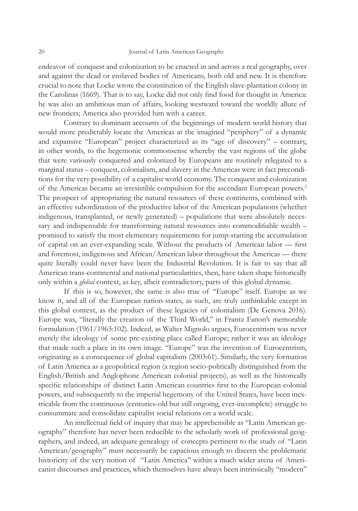endeavor of conquest and colonization to be enacted in and across a real geography, over and against the dead or enslaved bodies of Americans, both old and new. It is therefore crucial to note that Locke wrote the constitution of the English slave-plantation colony in the Carolinas (1669). That is to say, Locke did not only fnd food for thought in America: he was also an ambitious man of affairs, looking westward toward the worldly allure of new frontiers; America also provided him with a career.

Contrary to dominant accounts of the beginnings of modern world history that would more predictably locate the Americas at the imagined "periphery" of a dynamic and expansive "European" project characterized as its "age of discovery" – contrary, in other words, to the hegemonic commonsense whereby the vast regions of the globe that were variously conquered and colonized by Europeans are routinely relegated to a marginal status – conquest, colonialism, and slavery in the Americas were in fact preconditions for the very possibility of a capitalist world economy. The conquest and colonization of the Americas became an irresistible compulsion for the ascendant European powers.2 The prospect of appropriating the natural resources of these continents, combined with an effective subordination of the productive labor of the American populations (whether indigenous, transplanted, or newly generated) – populations that were absolutely necessary and indispensable for transforming natural resources into commodifable wealth – promised to satisfy the most elementary requirements for jump-starting the accumulation of capital on an ever-expanding scale. Without the products of American labor — frst and foremost, indigenous and African/American labor throughout the Americas — there quite literally could never have been the Industrial Revolution. It is fair to say that all American trans-continental and national particularities, then, have taken shape historically only within a *global* context, as key, albeit contradictory, parts of this global dynamic.

If this is so, however, the same is also true of "Europe" itself. Europe as we know it, and all of the European nation-states, as such, are truly unthinkable except in this global context, as the product of these legacies of colonialism (De Genova 2016). Europe was, "literally the creation of the Third World," in Frantz Fanon's memorable formulation (1961/1963:102). Indeed, as Walter Mignolo argues, Eurocentrism was never merely the ideology of some pre-existing place called Europe; rather it was an ideology that made such a place in its own image. "Europe" was the invention of Eurocentrism, originating as a consequence of global capitalism (2003:61). Similarly, the very formation of Latin America as a geopolitical region (a region socio-politically distinguished from the English/British and Anglophone American colonial projects), as well as the historically specifc relationships of distinct Latin American countries frst to the European colonial powers, and subsequently to the imperial hegemony of the United States, have been inextricable from the continuous (centuries-old but still ongoing, ever-incomplete) struggle to consummate and consolidate capitalist social relations on a world scale.

An intellectual feld of inquiry that may be apprehensible as "Latin American geography" therefore has never been reducible to the scholarly work of professional geographers, and indeed, an adequate genealogy of concepts pertinent to the study of "Latin American/geography" must necessarily be capacious enough to discern the problematic historicity of the very notion of "Latin America" within a much wider arena of Americanist discourses and practices, which themselves have always been intrinsically "modern"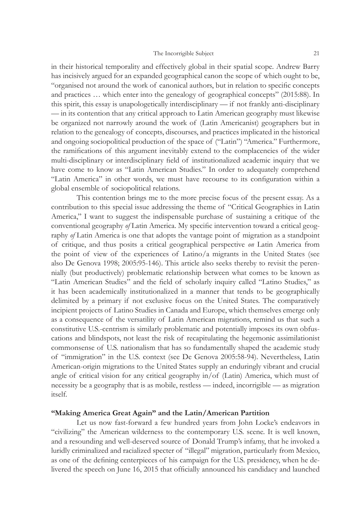in their historical temporality and effectively global in their spatial scope. Andrew Barry has incisively argued for an expanded geographical canon the scope of which ought to be, "organised not around the work of canonical authors, but in relation to specifc concepts and practices … which enter into the genealogy of geographical concepts" (2015:88). In this spirit, this essay is unapologetically interdisciplinary — if not frankly anti-disciplinary — in its contention that any critical approach to Latin American geography must likewise be organized not narrowly around the work of (Latin Americanist) geographers but in relation to the genealogy of concepts, discourses, and practices implicated in the historical and ongoing sociopolitical production of the space of ("Latin") "America." Furthermore, the ramifcations of this argument inevitably extend to the complacencies of the wider multi-disciplinary or interdisciplinary feld of institutionalized academic inquiry that we have come to know as "Latin American Studies." In order to adequately comprehend "Latin America" in other words, we must have recourse to its confguration within a global ensemble of sociopolitical relations.

This contention brings me to the more precise focus of the present essay. As a contribution to this special issue addressing the theme of "Critical Geographies in Latin America," I want to suggest the indispensable purchase of sustaining a critique of the conventional geography *of* Latin America. My specifc intervention toward a critical geography *of* Latin America is one that adopts the vantage point of migration as a standpoint of critique, and thus posits a critical geographical perspective *on* Latin America from the point of view of the experiences of Latino/a migrants in the United States (see also De Genova 1998; 2005:95-146). This article also seeks thereby to revisit the perennially (but productively) problematic relationship between what comes to be known as "Latin American Studies" and the feld of scholarly inquiry called "Latino Studies," as it has been academically institutionalized in a manner that tends to be geographically delimited by a primary if not exclusive focus on the United States. The comparatively incipient projects of Latino Studies in Canada and Europe, which themselves emerge only as a consequence of the versatility of Latin American migrations, remind us that such a constitutive U.S.-centrism is similarly problematic and potentially imposes its own obfuscations and blindspots, not least the risk of recapitulating the hegemonic assimilationist commonsense of U.S. nationalism that has so fundamentally shaped the academic study of "immigration" in the U.S. context (see De Genova 2005:58-94). Nevertheless, Latin American-origin migrations to the United States supply an enduringly vibrant and crucial angle of critical vision for any critical geography in/of (Latin) America, which must of necessity be a geography that is as mobile, restless — indeed, incorrigible — as migration itself.

# **"Making America Great Again" and the Latin/American Partition**

Let us now fast-forward a few hundred years from John Locke's endeavors in "civilizing" the American wilderness to the contemporary U.S. scene. It is well known, and a resounding and well-deserved source of Donald Trump's infamy, that he invoked a luridly criminalized and racialized specter of "illegal" migration, particularly from Mexico, as one of the defning centerpieces of his campaign for the U.S. presidency, when he delivered the speech on June 16, 2015 that offcially announced his candidacy and launched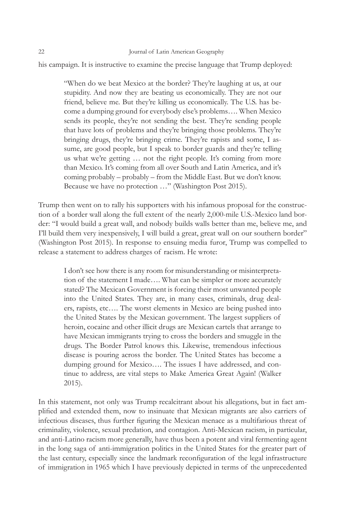his campaign. It is instructive to examine the precise language that Trump deployed:

"When do we beat Mexico at the border? They're laughing at us, at our stupidity. And now they are beating us economically. They are not our friend, believe me. But they're killing us economically. The U.S. has become a dumping ground for everybody else's problems…. When Mexico sends its people, they're not sending the best. They're sending people that have lots of problems and they're bringing those problems. They're bringing drugs, they're bringing crime. They're rapists and some, I assume, are good people, but I speak to border guards and they're telling us what we're getting … not the right people. It's coming from more than Mexico. It's coming from all over South and Latin America, and it's coming probably – probably – from the Middle East. But we don't know. Because we have no protection …" (Washington Post 2015).

Trump then went on to rally his supporters with his infamous proposal for the construction of a border wall along the full extent of the nearly 2,000-mile U.S.-Mexico land border: "I would build a great wall, and nobody builds walls better than me, believe me, and I'll build them very inexpensively, I will build a great, great wall on our southern border" (Washington Post 2015). In response to ensuing media furor, Trump was compelled to release a statement to address charges of racism. He wrote:

I don't see how there is any room for misunderstanding or misinterpretation of the statement I made…. What can be simpler or more accurately stated? The Mexican Government is forcing their most unwanted people into the United States. They are, in many cases, criminals, drug dealers, rapists, etc…. The worst elements in Mexico are being pushed into the United States by the Mexican government. The largest suppliers of heroin, cocaine and other illicit drugs are Mexican cartels that arrange to have Mexican immigrants trying to cross the borders and smuggle in the drugs. The Border Patrol knows this. Likewise, tremendous infectious disease is pouring across the border. The United States has become a dumping ground for Mexico…. The issues I have addressed, and continue to address, are vital steps to Make America Great Again! (Walker 2015).

In this statement, not only was Trump recalcitrant about his allegations, but in fact amplifed and extended them, now to insinuate that Mexican migrants are also carriers of infectious diseases, thus further fguring the Mexican menace as a multifarious threat of criminality, violence, sexual predation, and contagion. Anti-Mexican racism, in particular, and anti-Latino racism more generally, have thus been a potent and viral fermenting agent in the long saga of anti-immigration politics in the United States for the greater part of the last century, especially since the landmark reconfguration of the legal infrastructure of immigration in 1965 which I have previously depicted in terms of the unprecedented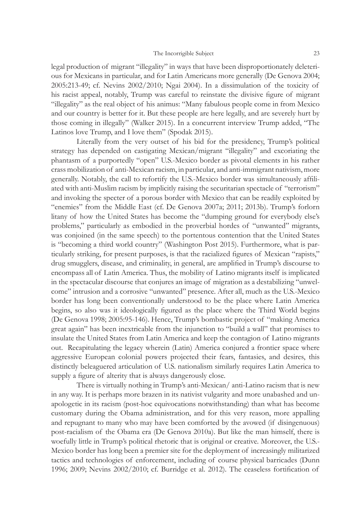#### **The Incorrigible Subject** 23

legal production of migrant "illegality" in ways that have been disproportionately deleterious for Mexicans in particular, and for Latin Americans more generally (De Genova 2004; 2005:213-49; cf. Nevins 2002/2010; Ngai 2004). In a dissimulation of the toxicity of his racist appeal, notably, Trump was careful to reinstate the divisive fgure of migrant "illegality" as the real object of his animus: "Many fabulous people come in from Mexico and our country is better for it. But these people are here legally, and are severely hurt by those coming in illegally" (Walker 2015). In a concurrent interview Trump added, "The Latinos love Trump, and I love them" (Spodak 2015).

Literally from the very outset of his bid for the presidency, Trump's political strategy has depended on castigating Mexican/migrant "illegality" and excoriating the phantasm of a purportedly "open" U.S.-Mexico border as pivotal elements in his rather crass mobilization of anti-Mexican racism, in particular, and anti-immigrant nativism, more generally. Notably, the call to refortify the U.S.-Mexico border was simultaneously affliated with anti-Muslim racism by implicitly raising the securitarian spectacle of "terrorism" and invoking the specter of a porous border with Mexico that can be readily exploited by "enemies" from the Middle East (cf. De Genova 2007a; 2011; 2013b). Trump's forlorn litany of how the United States has become the "dumping ground for everybody else's problems," particularly as embodied in the proverbial hordes of "unwanted" migrants, was conjoined (in the same speech) to the portentous contention that the United States is "becoming a third world country" (Washington Post 2015). Furthermore, what is particularly striking, for present purposes, is that the racialized fgures of Mexican "rapists," drug smugglers, disease, and criminality, in general, are amplifed in Trump's discourse to encompass all of Latin America. Thus, the mobility of Latino migrants itself is implicated in the spectacular discourse that conjures an image of migration as a destabilizing "unwelcome" intrusion and a corrosive "unwanted" presence. After all, much as the U.S.-Mexico border has long been conventionally understood to be the place where Latin America begins, so also was it ideologically fgured as the place where the Third World begins (De Genova 1998; 2005:95-146). Hence, Trump's bombastic project of "making America great again" has been inextricable from the injunction to "build a wall" that promises to insulate the United States from Latin America and keep the contagion of Latino migrants out. Recapitulating the legacy wherein (Latin) America conjured a frontier space where aggressive European colonial powers projected their fears, fantasies, and desires, this distinctly beleaguered articulation of U.S. nationalism similarly requires Latin America to supply a figure of alterity that is always dangerously close.

There is virtually nothing in Trump's anti-Mexican/ anti-Latino racism that is new in any way. It is perhaps more brazen in its nativist vulgarity and more unabashed and unapologetic in its racism (post-hoc equivocations notwithstanding) than what has become customary during the Obama administration, and for this very reason, more appalling and repugnant to many who may have been comforted by the avowed (if disingenuous) post-racialism of the Obama era (De Genova 2010a). But like the man himself, there is woefully little in Trump's political rhetoric that is original or creative. Moreover, the U.S.- Mexico border has long been a premier site for the deployment of increasingly militarized tactics and technologies of enforcement, including of course physical barricades (Dunn 1996; 2009; Nevins 2002/2010; cf. Burridge et al. 2012). The ceaseless fortifcation of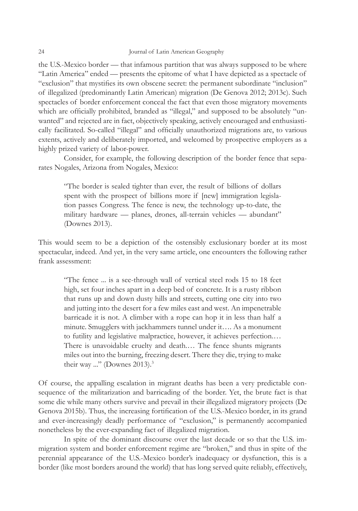the U.S.-Mexico border — that infamous partition that was always supposed to be where "Latin America" ended — presents the epitome of what I have depicted as a spectacle of "exclusion" that mystifes its own obscene secret: the permanent subordinate "inclusion" of illegalized (predominantly Latin American) migration (De Genova 2012; 2013c). Such spectacles of border enforcement conceal the fact that even those migratory movements which are officially prohibited, branded as "illegal," and supposed to be absolutely "unwanted" and rejected are in fact, objectively speaking, actively encouraged and enthusiastically facilitated. So-called "illegal" and offcially unauthorized migrations are, to various extents, actively and deliberately imported, and welcomed by prospective employers as a highly prized variety of labor-power.

Consider, for example, the following description of the border fence that separates Nogales, Arizona from Nogales, Mexico:

"The border is sealed tighter than ever, the result of billions of dollars spent with the prospect of billions more if [new] immigration legislation passes Congress. The fence is new, the technology up-to-date, the military hardware — planes, drones, all-terrain vehicles — abundant" (Downes 2013).

This would seem to be a depiction of the ostensibly exclusionary border at its most spectacular, indeed. And yet, in the very same article, one encounters the following rather frank assessment:

"The fence ... is a see-through wall of vertical steel rods 15 to 18 feet high, set four inches apart in a deep bed of concrete. It is a rusty ribbon that runs up and down dusty hills and streets, cutting one city into two and jutting into the desert for a few miles east and west. An impenetrable barricade it is not. A climber with a rope can hop it in less than half a minute. Smugglers with jackhammers tunnel under it…. As a monument to futility and legislative malpractice, however, it achieves perfection.… There is unavoidable cruelty and death.… The fence shunts migrants miles out into the burning, freezing desert. There they die, trying to make their way ..." (Downes 2013).<sup>3</sup>

Of course, the appalling escalation in migrant deaths has been a very predictable consequence of the militarization and barricading of the border. Yet, the brute fact is that some die while many others survive and prevail in their illegalized migratory projects (De Genova 2015b). Thus, the increasing fortifcation of the U.S.-Mexico border, in its grand and ever-increasingly deadly performance of "exclusion," is permanently accompanied nonetheless by the ever-expanding fact of illegalized migration.

In spite of the dominant discourse over the last decade or so that the U.S. immigration system and border enforcement regime are "broken," and thus in spite of the perennial appearance of the U.S.-Mexico border's inadequacy or dysfunction, this is a border (like most borders around the world) that has long served quite reliably, effectively,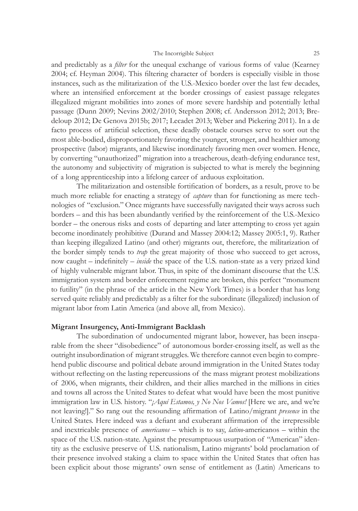### **The Incorrigible Subject** 25

and predictably as a *flter* for the unequal exchange of various forms of value (Kearney 2004; cf. Heyman 2004). This fltering character of borders is especially visible in those instances, such as the militarization of the U.S.-Mexico border over the last few decades, where an intensifed enforcement at the border crossings of easiest passage relegates illegalized migrant mobilities into zones of more severe hardship and potentially lethal passage (Dunn 2009; Nevins 2002/2010; Stephen 2008; cf. Andersson 2012; 2013; Bredeloup 2012; De Genova 2015b; 2017; Lecadet 2013; Weber and Pickering 2011). In a de facto process of artifcial selection, these deadly obstacle courses serve to sort out the most able-bodied, disproportionately favoring the younger, stronger, and healthier among prospective (labor) migrants, and likewise inordinately favoring men over women. Hence, by converting "unauthorized" migration into a treacherous, death-defying endurance test, the autonomy and subjectivity of migration is subjected to what is merely the beginning of a long apprenticeship into a lifelong career of arduous exploitation.

The militarization and ostensible fortifcation of borders, as a result, prove to be much more reliable for enacting a strategy of *capture* than for functioning as mere technologies of "exclusion." Once migrants have successfully navigated their ways across such borders – and this has been abundantly verifed by the reinforcement of the U.S.-Mexico border – the onerous risks and costs of departing and later attempting to cross yet again become inordinately prohibitive (Durand and Massey 2004:12; Massey 2005:1, 9). Rather than keeping illegalized Latino (and other) migrants out, therefore, the militarization of the border simply tends to *trap* the great majority of those who succeed to get across, now caught – indefnitely – *inside* the space of the U.S. nation-state as a very prized kind of highly vulnerable migrant labor. Thus, in spite of the dominant discourse that the U.S. immigration system and border enforcement regime are broken, this perfect "monument to futility" (in the phrase of the article in the New York Times) is a border that has long served quite reliably and predictably as a flter for the subordinate (illegalized) inclusion of migrant labor from Latin America (and above all, from Mexico).

# **Migrant Insurgency, Anti-Immigrant Backlash**

The subordination of undocumented migrant labor, however, has been inseparable from the sheer "disobedience" of autonomous border-crossing itself, as well as the outright insubordination of migrant struggles. We therefore cannot even begin to comprehend public discourse and political debate around immigration in the United States today without refecting on the lasting repercussions of the mass migrant protest mobilizations of 2006, when migrants, their children, and their allies marched in the millions in cities and towns all across the United States to defeat what would have been the most punitive immigration law in U.S. history. "*¡Aquí Estamos, y No Nos Vamos!* [Here we are, and we're not leaving!]." So rang out the resounding affrmation of Latino/migrant *presence* in the United States. Here indeed was a defant and exuberant affrmation of the irrepressible and inextricable presence of *americanos –* which is to say, *latino-*americanos – within the space of the U.S. nation-state. Against the presumptuous usurpation of "American" identity as the exclusive preserve of U.S. nationalism, Latino migrants' bold proclamation of their presence involved staking a claim to space within the United States that often has been explicit about those migrants' own sense of entitlement as (Latin) Americans to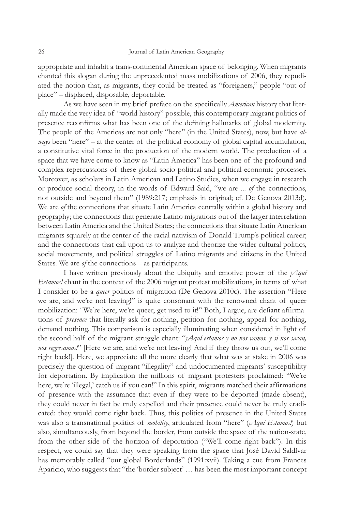appropriate and inhabit a trans-continental American space of belonging. When migrants chanted this slogan during the unprecedented mass mobilizations of 2006, they repudiated the notion that, as migrants, they could be treated as "foreigners," people "out of place" – displaced, disposable, deportable.

As we have seen in my brief preface on the specifcally *American* history that literally made the very idea of "world history" possible, this contemporary migrant politics of presence reconfrms what has been one of the defning hallmarks of global modernity. The people of the Americas are not only "here" (in the United States), now, but have *always* been "here" – at the center of the political economy of global capital accumulation, a constitutive vital force in the production of the modern world. The production of a space that we have come to know as "Latin America" has been one of the profound and complex repercussions of these global socio-political and political-economic processes. Moreover, as scholars in Latin American and Latino Studies, when we engage in research or produce social theory, in the words of Edward Said, "we are ... *of* the connections, not outside and beyond them" (1989:217; emphasis in original; cf. De Genova 2013d). We are *of* the connections that situate Latin America centrally within a global history and geography; the connections that generate Latino migrations out of the larger interrelation between Latin America and the United States; the connections that situate Latin American migrants squarely at the center of the racial nativism of Donald Trump's political career; and the connections that call upon us to analyze and theorize the wider cultural politics, social movements, and political struggles of Latino migrants and citizens in the United States. We are *of* the connections – as participants.

I have written previously about the ubiquity and emotive power of the *¡Aquí Estamos!* chant in the context of the 2006 migrant protest mobilizations, in terms of what I consider to be a *queer* politics of migration (De Genova 2010c). The assertion "Here we are, and we're not leaving!" is quite consonant with the renowned chant of queer mobilization: "We're here, we're queer, get used to it!" Both, I argue, are defant affrmations of *presence* that literally ask for nothing, petition for nothing, appeal for nothing, demand nothing. This comparison is especially illuminating when considered in light of the second half of the migrant struggle chant: "*¡Aquí estamos y no nos vamos, y si nos sacan, nos regresamos!*" [Here we are, and we're not leaving! And if they throw us out, we'll come right back!]. Here, we appreciate all the more clearly that what was at stake in 2006 was precisely the question of migrant "illegality" and undocumented migrants' susceptibility for deportation. By implication the millions of migrant protesters proclaimed: "We're here, we're 'illegal,' catch us if you can!" In this spirit, migrants matched their affrmations of presence with the assurance that even if they were to be deported (made absent), they could never in fact be truly expelled and their presence could never be truly eradicated: they would come right back. Thus, this politics of presence in the United States was also a transnational politics of *mobility*, articulated from "here" (*¡Aquí Estamos!*) but also, simultaneously, from beyond the border, from outside the space of the nation-state, from the other side of the horizon of deportation ("We'll come right back"). In this respect, we could say that they were speaking from the space that José David Saldívar has memorably called "our global Borderlands" (1991:xvii). Taking a cue from Frances Aparicio, who suggests that "the 'border subject' … has been the most important concept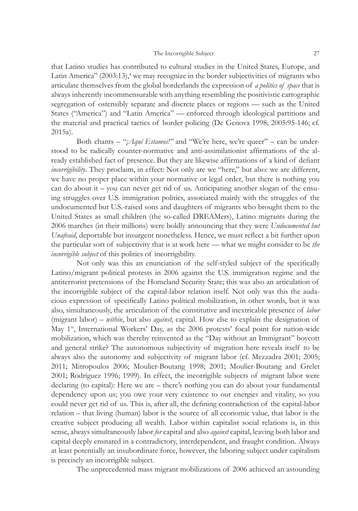that Latino studies has contributed to cultural studies in the United States, Europe, and Latin America" (2003:13),<sup>4</sup> we may recognize in the border subjectivities of migrants who articulate themselves from the global borderlands the expression of *a politics of space* that is always inherently incommensurable with anything resembling the positivistic cartographic segregation of ostensibly separate and discrete places or regions — such as the United States ("America") and "Latin America" — enforced through ideological partitions and the material and practical tactics of border policing (De Genova 1998; 2005:95-146; cf. 2015a).

Both chants – "*¡Aquí Estamos!"* and "We're here, we're queer" – can be understood to be radically counter-normative and anti-assimilationist affrmations of the already established fact of presence. But they are likewise affrmations of a kind of defant *incorrigibility*. They proclaim, in effect: Not only are we "here," but also: we are different, we have no proper place within your normative or legal order, but there is nothing you can do about it – you can never get rid of us. Anticipating another slogan of the ensuing struggles over U.S. immigration politics, associated mainly with the struggles of the undocumented but U.S.-raised sons and daughters of migrants who brought them to the United States as small children (the so-called DREAMers), Latino migrants during the 2006 marches (in their millions) were boldly announcing that they were *Undocumented but Unafraid*, deportable but insurgent nonetheless. Hence, we must refect a bit further upon the particular sort of subjectivity that is at work here — what we might consider to be *the incorrigible subject* of this politics of incorrigibility.

Not only was this an enunciation of the self-styled subject of the specifcally Latino/migrant political protests in 2006 against the U.S. immigration regime and the antiterrorist pretensions of the Homeland Security State; this was also an articulation of the incorrigible subject of the capital-labor relation itself. Not only was this the audacious expression of specifcally Latino political mobilization, in other words, but it was also, simultaneously, the articulation of the constitutive and inextricable presence of *labor*  (migrant labor) *– within*, but also *against*, capital. How else to explain the designation of May 1<sup>st</sup>, International Workers' Day, as the 2006 protests' focal point for nation-wide mobilization, which was thereby reinvented as the "Day without an Immigrant" boycott and general strike? The autonomous subjectivity of migration here reveals itself to be always also the autonomy and subjectivity of migrant labor (cf. Mezzadra 2001; 2005; 2011; Mitropoulos 2006; Moulier-Boutang 1998; 2001; Moulier-Boutang and Grelet 2001; Rodríguez 1996; 1999). In effect, the incorrigible subjects of migrant labor were declaring (to capital): Here we are – there's nothing you can do about your fundamental dependency upon us; you owe your very existence to our energies and vitality, so you could never get rid of us. This is, after all, the defning contradiction of the capital-labor relation – that living (human) labor is the source of all economic value, that labor is the creative subject producing all wealth. Labor within capitalist social relations is, in this sense, always simultaneously labor *for* capital and also *against* capital, leaving both labor and capital deeply ensnared in a contradictory, interdependent, and fraught condition. Always at least potentially an insubordinate force, however, the laboring subject under capitalism is precisely an incorrigible subject.

The unprecedented mass migrant mobilizations of 2006 achieved an astounding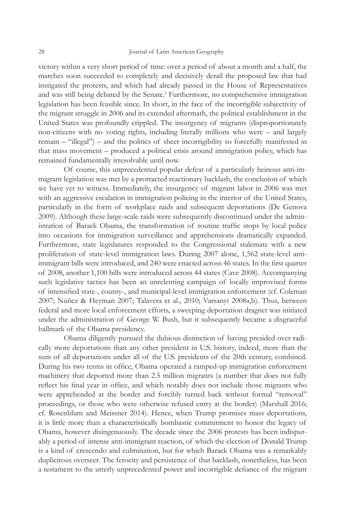victory within a very short period of time: over a period of about a month and a half, the marches soon succeeded to completely and decisively derail the proposed law that had instigated the protests, and which had already passed in the House of Representatives and was still being debated by the Senate.<sup>5</sup> Furthermore, no comprehensive immigration legislation has been feasible since. In short, in the face of the incorrigible subjectivity of the migrant struggle in 2006 and its extended aftermath, the political establishment in the United States was profoundly crippled. The insurgency of migrants (disproportionately non-citizens with no voting rights, including literally millions who were – and largely remain – "illegal") – and the politics of sheer incorrigibility so forcefully manifested in that mass movement – produced a political crisis around immigration policy, which has remained fundamentally irresolvable until now.

Of course, this unprecedented popular defeat of a particularly heinous anti-immigrant legislation was met by a protracted reactionary backlash, the conclusion of which we have yet to witness. Immediately, the insurgency of migrant labor in 2006 was met with an aggressive escalation in immigration policing in the interior of the United States, particularly in the form of workplace raids and subsequent deportations (De Genova 2009). Although these large-scale raids were subsequently discontinued under the administration of Barack Obama, the transformation of routine traffc stops by local police into occasions for immigration surveillance and apprehensions dramatically expanded. Furthermore, state legislatures responded to the Congressional stalemate with a new proliferation of state-level immigration laws. During 2007 alone, 1,562 state-level antiimmigrant bills were introduced, and 240 were enacted across 46 states. In the frst quarter of 2008, another 1,100 bills were introduced across 44 states (Cave 2008). Accompanying such legislative tactics has been an unrelenting campaign of locally improvised forms of intensifed state-, county-, and municipal-level immigration enforcement (cf. Coleman 2007; Núñez & Heyman 2007; Talavera et al., 2010; Varsanyi 2008a,b). Thus, between federal and more local enforcement efforts, a sweeping deportation dragnet was initiated under the administration of George W. Bush, but it subsequently became a disgraceful hallmark of the Obama presidency.

Obama diligently pursued the dubious distinction of having presided over radically more deportations than any other president in U.S. history, indeed, more than the sum of all deportations under all of the U.S. presidents of the 20th century, combined. During his two terms in office, Obama operated a ramped-up immigration enforcement machinery that deported more than 2.5 million migrants (a number that does not fully reflect his final year in office, and which notably does not include those migrants who were apprehended at the border and forcibly turned back without formal "removal" proceedings, or those who were otherwise refused entry at the border) (Marshall 2016; cf. Rosenblum and Meissner 2014). Hence, when Trump promises mass deportations, it is little more than a characteristically bombastic commitment to honor the legacy of Obama, however disingenuously. The decade since the 2006 protests has been indisputably a period of intense anti-immigrant reaction, of which the election of Donald Trump is a kind of crescendo and culmination, but for which Barack Obama was a remarkably duplicitous overseer. The ferocity and persistence of that backlash, nonetheless, has been a testament to the utterly unprecedented power and incorrigible defance of the migrant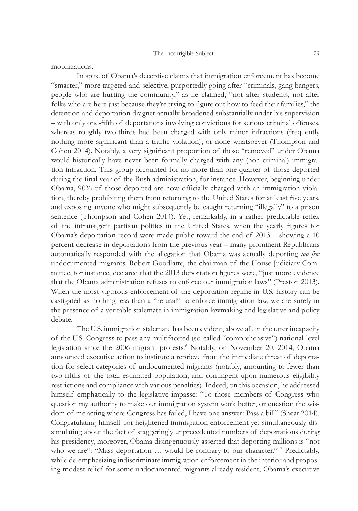mobilizations.

In spite of Obama's deceptive claims that immigration enforcement has become "smarter," more targeted and selective, purportedly going after "criminals, gang bangers, people who are hurting the community," as he claimed, "not after students, not after folks who are here just because they're trying to fgure out how to feed their families," the detention and deportation dragnet actually broadened substantially under his supervision – with only one-ffth of deportations involving convictions for serious criminal offenses, whereas roughly two-thirds had been charged with only minor infractions (frequently nothing more signifcant than a traffc violation), or none whatsoever (Thompson and Cohen 2014). Notably, a very signifcant proportion of those "removed" under Obama would historically have never been formally charged with any (non-criminal) immigration infraction. This group accounted for no more than one-quarter of those deported during the fnal year of the Bush administration, for instance. However, beginning under Obama, 90% of those deported are now offcially charged with an immigration violation, thereby prohibiting them from returning to the United States for at least fve years, and exposing anyone who might subsequently be caught returning "illegally" to a prison sentence (Thompson and Cohen 2014). Yet, remarkably, in a rather predictable refex of the intransigent partisan politics in the United States, when the yearly fgures for Obama's deportation record were made public toward the end of 2013 – showing a 10 percent decrease in deportations from the previous year – many prominent Republicans automatically responded with the allegation that Obama was actually deporting *too few* undocumented migrants. Robert Goodlatte, the chairman of the House Judiciary Committee, for instance, declared that the 2013 deportation fgures were, "just more evidence that the Obama administration refuses to enforce our immigration laws" (Preston 2013). When the most vigorous enforcement of the deportation regime in U.S. history can be castigated as nothing less than a "refusal" to enforce immigration law, we are surely in the presence of a veritable stalemate in immigration lawmaking and legislative and policy debate.

The U.S. immigration stalemate has been evident, above all, in the utter incapacity of the U.S. Congress to pass any multifaceted (so-called "comprehensive") national-level legislation since the 2006 migrant protests.<sup>6</sup> Notably, on November 20, 2014, Obama announced executive action to institute a reprieve from the immediate threat of deportation for select categories of undocumented migrants (notably, amounting to fewer than two-ffths of the total estimated population, and contingent upon numerous eligibility restrictions and compliance with various penalties). Indeed, on this occasion, he addressed himself emphatically to the legislative impasse: "To those members of Congress who question my authority to make our immigration system work better, or question the wisdom of me acting where Congress has failed, I have one answer: Pass a bill" (Shear 2014). Congratulating himself for heightened immigration enforcement yet simultaneously dissimulating about the fact of staggeringly unprecedented numbers of deportations during his presidency, moreover, Obama disingenuously asserted that deporting millions is "not who we are": "Mass deportation ... would be contrary to our character." <sup>7</sup> Predictably, while de-emphasizing indiscriminate immigration enforcement in the interior and proposing modest relief for some undocumented migrants already resident, Obama's executive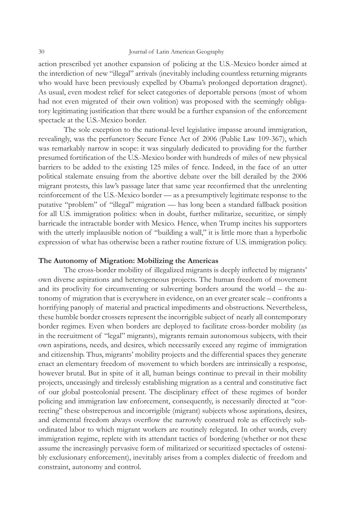action prescribed yet another expansion of policing at the U.S.-Mexico border aimed at the interdiction of new "illegal" arrivals (inevitably including countless returning migrants who would have been previously expelled by Obama's prolonged deportation dragnet). As usual, even modest relief for select categories of deportable persons (most of whom had not even migrated of their own volition) was proposed with the seemingly obligatory legitimating justifcation that there would be a further expansion of the enforcement spectacle at the U.S.-Mexico border.

The sole exception to the national-level legislative impasse around immigration, revealingly, was the perfunctory Secure Fence Act of 2006 (Public Law 109-367), which was remarkably narrow in scope: it was singularly dedicated to providing for the further presumed fortifcation of the U.S.-Mexico border with hundreds of miles of new physical barriers to be added to the existing 125 miles of fence. Indeed, in the face of an utter political stalemate ensuing from the abortive debate over the bill derailed by the 2006 migrant protests, this law's passage later that same year reconfrmed that the unrelenting reinforcement of the U.S.-Mexico border — as a presumptively legitimate response to the putative "problem" of "illegal" migration — has long been a standard fallback position for all U.S. immigration politics: when in doubt, further militarize, securitize, or simply barricade the intractable border with Mexico. Hence, when Trump incites his supporters with the utterly implausible notion of "building a wall," it is little more than a hyperbolic expression of what has otherwise been a rather routine fxture of U.S. immigration policy.

# **The Autonomy of Migration: Mobilizing the Americas**

The cross-border mobility of illegalized migrants is deeply infected by migrants' own diverse aspirations and heterogeneous projects. The human freedom of movement and its proclivity for circumventing or subverting borders around the world – the autonomy of migration that is everywhere in evidence, on an ever greater scale – confronts a horrifying panoply of material and practical impediments and obstructions. Nevertheless, these humble border crossers represent the incorrigible subject of nearly all contemporary border regimes. Even when borders are deployed to facilitate cross-border mobility (as in the recruitment of "legal" migrants), migrants remain autonomous subjects, with their own aspirations, needs, and desires, which necessarily exceed any regime of immigration and citizenship. Thus, migrants' mobility projects and the differential spaces they generate enact an elementary freedom of movement to which borders are intrinsically a response, however brutal. But in spite of it all, human beings continue to prevail in their mobility projects, unceasingly and tirelessly establishing migration as a central and constitutive fact of our global postcolonial present. The disciplinary effect of these regimes of border policing and immigration law enforcement, consequently, is necessarily directed at "correcting" these obstreperous and incorrigible (migrant) subjects whose aspirations, desires, and elemental freedom always overfow the narrowly construed role as effectively subordinated labor to which migrant workers are routinely relegated. In other words, every immigration regime, replete with its attendant tactics of bordering (whether or not these assume the increasingly pervasive form of militarized or securitized spectacles of ostensibly exclusionary enforcement), inevitably arises from a complex dialectic of freedom and constraint, autonomy and control.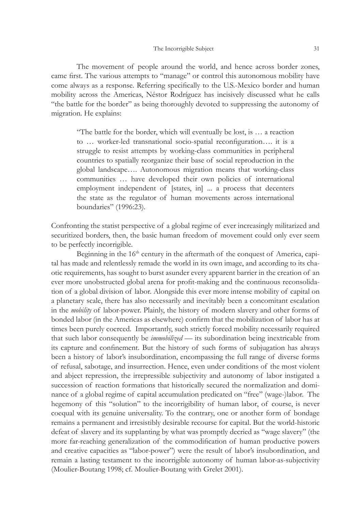The movement of people around the world, and hence across border zones, came frst. The various attempts to "manage" or control this autonomous mobility have come always as a response. Referring specifcally to the U.S.-Mexico border and human mobility across the Americas, Néstor Rodríguez has incisively discussed what he calls "the battle for the border" as being thoroughly devoted to suppressing the autonomy of migration. He explains:

"The battle for the border, which will eventually be lost, is … a reaction to … worker-led transnational socio-spatial reconfguration…. it is a struggle to resist attempts by working-class communities in peripheral countries to spatially reorganize their base of social reproduction in the global landscape…. Autonomous migration means that working-class communities … have developed their own policies of international employment independent of [states, in] ... a process that decenters the state as the regulator of human movements across international boundaries" (1996:23).

Confronting the statist perspective of a global regime of ever increasingly militarized and securitized borders, then, the basic human freedom of movement could only ever seem to be perfectly incorrigible.

Beginning in the 16<sup>th</sup> century in the aftermath of the conquest of America, capital has made and relentlessly remade the world in its own image, and according to its chaotic requirements, has sought to burst asunder every apparent barrier in the creation of an ever more unobstructed global arena for proft-making and the continuous reconsolidation of a global division of labor. Alongside this ever more intense mobility of capital on a planetary scale, there has also necessarily and inevitably been a concomitant escalation in the *mobility* of labor-power. Plainly, the history of modern slavery and other forms of bonded labor (in the Americas as elsewhere) confrm that the mobilization of labor has at times been purely coerced. Importantly, such strictly forced mobility necessarily required that such labor consequently be *immobilized* — its subordination being inextricable from its capture and confnement. But the history of such forms of subjugation has always been a history of labor's insubordination, encompassing the full range of diverse forms of refusal, sabotage, and insurrection. Hence, even under conditions of the most violent and abject repression, the irrepressible subjectivity and autonomy of labor instigated a succession of reaction formations that historically secured the normalization and dominance of a global regime of capital accumulation predicated on "free" (wage-)labor. The hegemony of this "solution" to the incorrigibility of human labor, of course, is never coequal with its genuine universality. To the contrary, one or another form of bondage remains a permanent and irresistibly desirable recourse for capital. But the world-historic defeat of slavery and its supplanting by what was promptly decried as "wage slavery" (the more far-reaching generalization of the commodifcation of human productive powers and creative capacities as "labor-power") were the result of labor's insubordination, and remain a lasting testament to the incorrigible autonomy of human labor-as-subjectivity (Moulier-Boutang 1998; cf. Moulier-Boutang with Grelet 2001).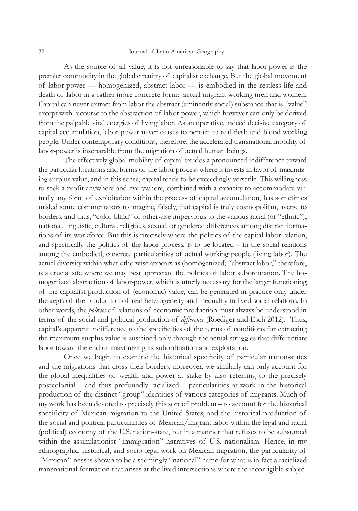As the source of all value, it is not unreasonable to say that labor-power is the premier commodity in the global circuitry of capitalist exchange. But the global movement of labor-power — homogenized, abstract labor — is embodied in the restless life and death of labor in a rather more concrete form: actual migrant working men and women. Capital can never extract from labor the abstract (eminently social) substance that is "value" except with recourse to the abstraction of labor-power, which however can only be derived from the palpable vital energies of living labor. As an operative, indeed decisive category of capital accumulation, labor-power never ceases to pertain to real fesh-and-blood working people. Under contemporary conditions, therefore, the accelerated transnational mobility of labor-power is inseparable from the migration of actual human beings.

The effectively global mobility of capital exudes a pronounced indifference toward the particular locations and forms of the labor process where it invests in favor of maximizing surplus value, and in this sense, capital tends to be exceedingly versatile. This willingness to seek a proft anywhere and everywhere, combined with a capacity to accommodate virtually any form of exploitation within the process of capital accumulation, has sometimes misled some commentators to imagine, falsely, that capital is truly cosmopolitan, averse to borders, and thus, "color-blind" or otherwise impervious to the various racial (or "ethnic"), national, linguistic, cultural, religious, sexual, or gendered differences among distinct formations of its workforce. But this is precisely where the politics of the capital-labor relation, and specifcally the politics of the labor process, is to be located – in the social relations among the embodied, concrete particularities of actual working people (living labor). The actual diversity within what otherwise appears as (homogenized) "abstract labor," therefore, is a crucial site where we may best appreciate the politics of labor subordination. The homogenized abstraction of labor-power, which is utterly necessary for the larger functioning of the capitalist production of (economic) value, can be generated in practice only under the aegis of the production of real heterogeneity and inequality in lived social relations. In other words, the *poli*t*ics* of relations of economic production must always be understood in terms of the social and political production of *difference* (Roediger and Esch 2012). Thus, capital's apparent indifference to the specifcities of the terms of conditions for extracting the maximum surplus value is sustained only through the actual struggles that differentiate labor toward the end of maximizing its subordination and exploitation.

Once we begin to examine the historical specifcity of particular nation-states and the migrations that cross their borders, moreover, we similarly can only account for the global inequalities of wealth and power at stake by also referring to the precisely postcolonial – and thus profoundly racialized – particularities at work in the historical production of the distinct "group" identities of various categories of migrants. Much of my work has been devoted to precisely this sort of problem – to account for the historical specifcity of Mexican migration to the United States, and the historical production of the social and political particularities of Mexican/migrant labor within the legal and racial (political) economy of the U.S. nation-state, but in a manner that refuses to be subsumed within the assimilationist "immigration" narratives of U.S. nationalism. Hence, in my ethnographic, historical, and socio-legal work on Mexican migration, the particularity of "Mexican"-ness is shown to be a seemingly "national" name for what is in fact a racialized transnational formation that arises at the lived intersections where the incorrigible subjec-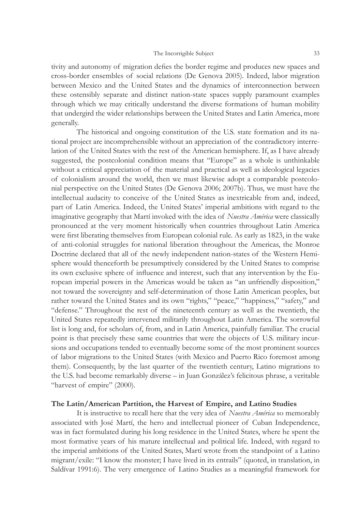#### **The Incorrigible Subject** 33

tivity and autonomy of migration defes the border regime and produces new spaces and cross-border ensembles of social relations (De Genova 2005). Indeed, labor migration between Mexico and the United States and the dynamics of interconnection between these ostensibly separate and distinct nation-state spaces supply paramount examples through which we may critically understand the diverse formations of human mobility that undergird the wider relationships between the United States and Latin America, more generally.

The historical and ongoing constitution of the U.S. state formation and its national project are incomprehensible without an appreciation of the contradictory interrelation of the United States with the rest of the American hemisphere. If, as I have already suggested, the postcolonial condition means that "Europe" as a whole is unthinkable without a critical appreciation of the material and practical as well as ideological legacies of colonialism around the world, then we must likewise adopt a comparable postcolonial perspective on the United States (De Genova 2006; 2007b). Thus, we must have the intellectual audacity to conceive of the United States as inextricable from and, indeed, part of Latin America. Indeed, the United States' imperial ambitions with regard to the imaginative geography that Martí invoked with the idea of *Nuestra América* were classically pronounced at the very moment historically when countries throughout Latin America were frst liberating themselves from European colonial rule. As early as 1823, in the wake of anti-colonial struggles for national liberation throughout the Americas, the Monroe Doctrine declared that all of the newly independent nation-states of the Western Hemisphere would thenceforth be presumptively considered by the United States to comprise its own exclusive sphere of infuence and interest, such that any intervention by the European imperial powers in the Americas would be taken as "an unfriendly disposition," not toward the sovereignty and self-determination of those Latin American peoples, but rather toward the United States and its own "rights," "peace," "happiness," "safety," and "defense." Throughout the rest of the nineteenth century as well as the twentieth, the United States repeatedly intervened militarily throughout Latin America. The sorrowful list is long and, for scholars of, from, and in Latin America, painfully familiar. The crucial point is that precisely these same countries that were the objects of U.S. military incursions and occupations tended to eventually become some of the most prominent sources of labor migrations to the United States (with Mexico and Puerto Rico foremost among them). Consequently, by the last quarter of the twentieth century, Latino migrations to the U.S. had become remarkably diverse – in Juan González's felicitous phrase, a veritable "harvest of empire" (2000).

# **The Latin/American Partition, the Harvest of Empire, and Latino Studies**

It is instructive to recall here that the very idea of *Nuestra América* so memorably associated with José Martí, the hero and intellectual pioneer of Cuban Independence, was in fact formulated during his long residence in the United States, where he spent the most formative years of his mature intellectual and political life. Indeed, with regard to the imperial ambitions of the United States, Martí wrote from the standpoint of a Latino migrant/exile: "I know the monster; I have lived in its entrails" (quoted, in translation, in Saldívar 1991:6). The very emergence of Latino Studies as a meaningful framework for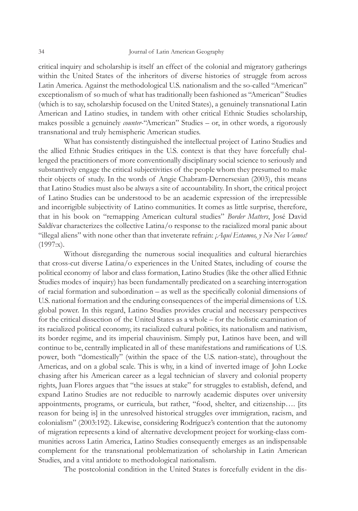critical inquiry and scholarship is itself an effect of the colonial and migratory gatherings within the United States of the inheritors of diverse histories of struggle from across Latin America. Against the methodological U.S. nationalism and the so-called "American" exceptionalism of so much of what has traditionally been fashioned as "American" Studies (which is to say, scholarship focused on the United States), a genuinely transnational Latin American and Latino studies, in tandem with other critical Ethnic Studies scholarship, makes possible a genuinely *counter*-"American" Studies – or, in other words, a rigorously transnational and truly hemispheric American studies.

What has consistently distinguished the intellectual project of Latino Studies and the allied Ethnic Studies critiques in the U.S. context is that they have forcefully challenged the practitioners of more conventionally disciplinary social science to seriously and substantively engage the critical subjectivities of the people whom they presumed to make their objects of study. In the words of Angie Chabram-Dernersesian (2003), this means that Latino Studies must also be always a site of accountability. In short, the critical project of Latino Studies can be understood to be an academic expression of the irrepressible and incorrigible subjectivity of Latino communities. It comes as little surprise, therefore, that in his book on "remapping American cultural studies" *Border Matters*, José David Saldívar characterizes the collective Latina/o response to the racialized moral panic about "illegal aliens" with none other than that inveterate refrain: *¡Aquí Estamos, y No Nos Vamos!* (1997:x).

Without disregarding the numerous social inequalities and cultural hierarchies that cross-cut diverse Latina/o experiences in the United States, including of course the political economy of labor and class formation, Latino Studies (like the other allied Ethnic Studies modes of inquiry) has been fundamentally predicated on a searching interrogation of racial formation and subordination – as well as the specifcally colonial dimensions of U.S. national formation and the enduring consequences of the imperial dimensions of U.S. global power. In this regard, Latino Studies provides crucial and necessary perspectives for the critical dissection of the United States as a whole – for the holistic examination of its racialized political economy, its racialized cultural politics, its nationalism and nativism, its border regime, and its imperial chauvinism. Simply put, Latinos have been, and will continue to be, centrally implicated in all of these manifestations and ramifcations of U.S. power, both "domestically" (within the space of the U.S. nation-state), throughout the Americas, and on a global scale. This is why, in a kind of inverted image of John Locke chasing after his American career as a legal technician of slavery and colonial property rights, Juan Flores argues that "the issues at stake" for struggles to establish, defend, and expand Latino Studies are not reducible to narrowly academic disputes over university appointments, programs, or curricula, but rather, "food, shelter, and citizenship…. [its reason for being is] in the unresolved historical struggles over immigration, racism, and colonialism" (2003:192). Likewise, considering Rodríguez's contention that the autonomy of migration represents a kind of alternative development project for working-class communities across Latin America, Latino Studies consequently emerges as an indispensable complement for the transnational problematization of scholarship in Latin American Studies, and a vital antidote to methodological nationalism.

The postcolonial condition in the United States is forcefully evident in the dis-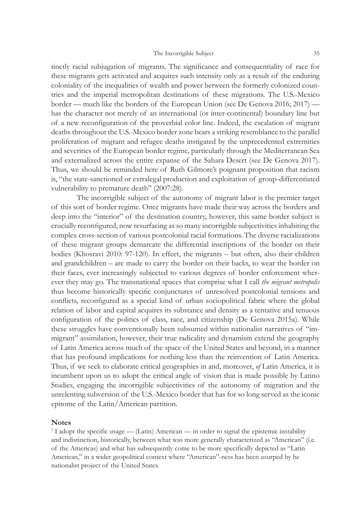tinctly racial subjugation of migrants. The signifcance and consequentiality of race for these migrants gets activated and acquires such intensity only as a result of the enduring coloniality of the inequalities of wealth and power between the formerly colonized countries and the imperial metropolitan destinations of these migrations. The U.S.-Mexico border — much like the borders of the European Union (see De Genova 2016; 2017) has the character not merely of an international (or inter-continental) boundary line but of a new reconfguration of the proverbial color line. Indeed, the escalation of migrant deaths throughout the U.S.-Mexico border zone bears a striking resemblance to the parallel proliferation of migrant and refugee deaths instigated by the unprecedented extremities and severities of the European border regime, particularly through the Mediterranean Sea and externalized across the entire expanse of the Sahara Desert (see De Genova 2017). Thus, we should be reminded here of Ruth Gilmore's poignant proposition that racism is, "the state-sanctioned or extralegal production and exploitation of group-differentiated vulnerability to premature death" (2007:28).

The incorrigible subject of the autonomy of migrant labor is the premier target of this sort of border regime. Once migrants have made their way across the borders and deep into the "interior" of the destination country, however, this same border subject is crucially reconfgured, now resurfacing as so many incorrigible subjectivities inhabiting the complex cross-section of various postcolonial racial formations. The diverse racializations of these migrant groups demarcate the differential inscriptions of the border on their bodies (Khosravi 2010: 97-120). In effect, the migrants – but often, also their children and grandchildren – are made to carry the border on their backs, to wear the border on their faces, ever increasingly subjected to various degrees of border enforcement wherever they may go. The transnational spaces that comprise what I call *the migrant metropolis* thus become historically specifc conjunctures of unresolved postcolonial tensions and conficts, reconfgured as a special kind of urban sociopolitical fabric where the global relation of labor and capital acquires its substance and density as a tentative and tenuous confguration of the politics of class, race, and citizenship (De Genova 2015a). While these struggles have conventionally been subsumed within nationalist narratives of "immigrant" assimilation, however, their true radicality and dynamism extend the geography of Latin America across much of the space of the United States and beyond, in a manner that has profound implications for nothing less than the reinvention of Latin America. Thus, if we seek to elaborate critical geographies in and, moreover, *of* Latin America, it is incumbent upon us to adopt the critical angle of vision that is made possible by Latino Studies, engaging the incorrigible subjectivities of the autonomy of migration and the unrelenting subversion of the U.S.-Mexico border that has for so long served as the iconic epitome of the Latin/American partition.

# **Notes**

<sup>1</sup> I adopt the specific usage  $-$  (Latin) American  $-$  in order to signal the epistemic instability and indistinction, historically, between what was more generally characterized as "American" (i.e. of the Americas) and what has subsequently come to be more specifically depicted as "Latin American," in a wider geopolitical context where "American"-ness has been usurped by he nationalist project of the United States.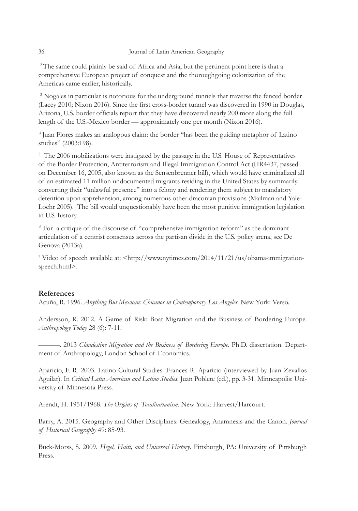<sup>2</sup>The same could plainly be said of Africa and Asia, but the pertinent point here is that a comprehensive European project of conquest and the thoroughgoing colonization of the Americas came earlier, historically.

<sup>3</sup> Nogales in particular is notorious for the underground tunnels that traverse the fenced border (Lacey 2010; Nixon 2016). Since the first cross-border tunnel was discovered in 1990 in Douglas, Arizona, U.S. border officials report that they have discovered nearly 200 more along the full length of the U.S.-Mexico border — approximately one per month (Nixon 2016).

<sup>4</sup>Juan Flores makes an analogous claim: the border "has been the guiding metaphor of Latino studies" (2003:198).

<sup>5</sup> The 2006 mobilizations were instigated by the passage in the U.S. House of Representatives of the Border Protection, Antiterrorism and Illegal Immigration Control Act (HR4437, passed on December 16, 2005, also known as the Sensenbrenner bill), which would have criminalized all of an estimated 11 million undocumented migrants residing in the United States by summarily converting their "unlawful presence" into a felony and rendering them subject to mandatory detention upon apprehension, among numerous other draconian provisions (Mailman and Yale-Loehr 2005). The bill would unquestionably have been the most punitive immigration legislation in U.S. history.

 6 For a critique of the discourse of "comprehensive immigration reform" as the dominant articulation of a centrist consensus across the partisan divide in the U.S. policy arena, see De Genova (2013a).

7 Video of speech available at: <http://www.nytimes.com/2014/11/21/us/obama-immigrationspeech.html>.

## **References**

Acuña, R. 1996. *Anything But Mexican: Chicanos in Contemporary Los Angeles*. New York: Verso.

Andersson, R. 2012. A Game of Risk: Boat Migration and the Business of Bordering Europe. *Anthropology Today* 28 (6): 7-11.

———. 2013 *Clandestine Migration and the Business of Bordering Europe*. Ph.D. dissertation. Department of Anthropology, London School of Economics.

Aparicio, F. R. 2003. Latino Cultural Studies: Frances R. Aparicio (interviewed by Juan Zevallos Aguilar). In *Critical Latin American and Latino Studies*. Juan Poblete (ed.), pp. 3-31. Minneapolis: University of Minnesota Press.

Arendt, H. 1951/1968. *The Origins of Totalitarianism*. New York: Harvest/Harcourt.

Barry, A. 2015. Geography and Other Disciplines: Genealogy, Anamnesis and the Canon. *Journal of Historical Geography* 49: 85-93.

Buck-Morss, S. 2009. *Hegel, Haiti, and Universal History*. Pittsburgh, PA: University of Pittsburgh Press.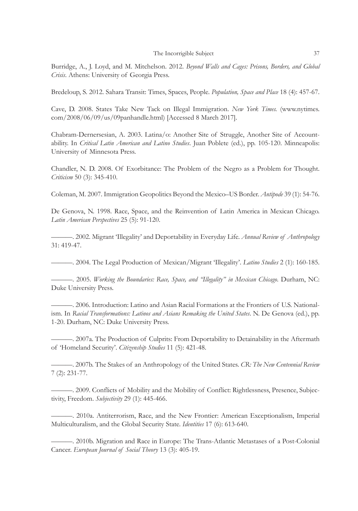Burridge, A., J. Loyd, and M. Mitchelson. 2012. *Beyond Walls and Cages: Prisons, Borders, and Global Crisis*. Athens: University of Georgia Press.

Bredeloup, S. 2012. Sahara Transit: Times, Spaces, People. *Population, Space and Place* 18 (4): 457-67.

Cave, D. 2008. States Take New Tack on Illegal Immigration. *New York Times.* (www.nytimes. com/2008/06/09/us/09panhandle.html) [Accessed 8 March 2017].

Chabram-Dernersesian, A. 2003. Latina/o: Another Site of Struggle, Another Site of Accountability. In *Critical Latin American and Latino Studies*. Juan Poblete (ed.), pp. 105-120. Minneapolis: University of Minnesota Press.

Chandler, N. D. 2008. Of Exorbitance: The Problem of the Negro as a Problem for Thought. *Criticism* 50 (3): 345-410.

Coleman, M. 2007. Immigration Geopolitics Beyond the Mexico–US Border. *Antipode* 39 (1): 54-76.

De Genova, N. 1998. Race, Space, and the Reinvention of Latin America in Mexican Chicago. *Latin American Perspectives* 25 (5): 91-120.

———. 2002. Migrant 'Illegality' and Deportability in Everyday Life. *Annual Review of Anthropology* 31: 419-47.

———. 2004. The Legal Production of Mexican/Migrant 'Illegality'. *Latino Studies* 2 (1): 160-185.

———. 2005. *Working the Boundaries: Race, Space, and "Illegality" in Mexican Chicago*. Durham, NC: Duke University Press.

———. 2006. Introduction: Latino and Asian Racial Formations at the Frontiers of U.S. Nationalism. In *Racial Transformations: Latinos and Asians Remaking the United States*. N. De Genova (ed.), pp. 1-20. Durham, NC: Duke University Press.

———. 2007a. The Production of Culprits: From Deportability to Detainability in the Aftermath of 'Homeland Security'. *Citizenship Studies* 11 (5): 421-48.

———. 2007b. The Stakes of an Anthropology of the United States. *CR: The New Centennial Review* 7 (2): 231-77.

———. 2009. Conflicts of Mobility and the Mobility of Conflict: Rightlessness, Presence, Subjectivity, Freedom. *Subjectivity* 29 (1): 445-466.

———. 2010a. Antiterrorism, Race, and the New Frontier: American Exceptionalism, Imperial Multiculturalism, and the Global Security State. *Identities* 17 (6): 613-640.

———. 2010b. Migration and Race in Europe: The Trans-Atlantic Metastases of a Post-Colonial Cancer. *European Journal of Social Theory* 13 (3): 405-19.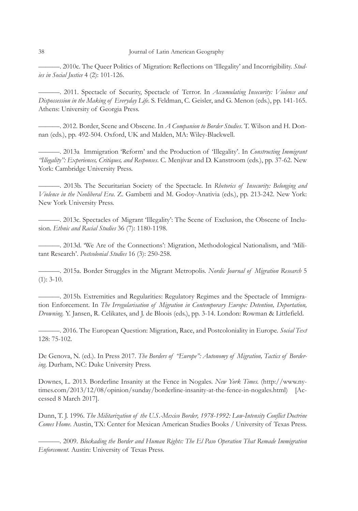———. 2010c. The Queer Politics of Migration: Reflections on 'Illegality' and Incorrigibility. *Studies in Social Justice* 4 (2): 101-126.

———. 2011. Spectacle of Security, Spectacle of Terror. In *Accumulating Insecurity: Violence and Dispossession in the Making of Everyday Life*. S. Feldman, C. Geisler, and G. Menon (eds.), pp. 141-165. Athens: University of Georgia Press.

———. 2012. Border, Scene and Obscene. In *A Companion to Border Studies*. T. Wilson and H. Donnan (eds.), pp. 492-504. Oxford, UK and Malden, MA: Wiley-Blackwell.

———. 2013a Immigration 'Reform' and the Production of 'Illegality'. In *Constructing Immigrant "Illegality": Experiences, Critiques, and Responses*. C. Menjívar and D. Kanstroom (eds.), pp. 37-62. New York: Cambridge University Press.

———. 2013b. The Securitarian Society of the Spectacle. In *Rhetorics of Insecurity: Belonging and Violence in the Neoliberal Era*. Z. Gambetti and M. Godoy-Anativia (eds.), pp. 213-242. New York: New York University Press.

———. 2013c. Spectacles of Migrant 'Illegality': The Scene of Exclusion, the Obscene of Inclusion. *Ethnic and Racial Studies* 36 (7): 1180-1198.

———. 2013d. 'We Are of the Connections': Migration, Methodological Nationalism, and 'Militant Research'. *Postcolonial Studies* 16 (3): 250-258.

———. 2015a. Border Struggles in the Migrant Metropolis. *Nordic Journal of Migration Research* 5  $(1)$ : 3-10.

———. 2015b. Extremities and Regularities: Regulatory Regimes and the Spectacle of Immigration Enforcement. In *The Irregularisation of Migration in Contemporary Europe: Detention, Deportation, Drowning*. Y. Jansen, R. Celikates, and J. de Bloois (eds.), pp. 3-14. London: Rowman & Littlefield.

———. 2016. The European Question: Migration, Race, and Postcoloniality in Europe. *Social Text* 128: 75-102.

De Genova, N. (ed.). In Press 2017. *The Borders of "Europe": Autonomy of Migration, Tactics of Bordering*. Durham, NC: Duke University Press.

Downes, L. 2013. Borderline Insanity at the Fence in Nogales. *New York Times.* (http://www.nytimes.com/2013/12/08/opinion/sunday/borderline-insanity-at-the-fence-in-nogales.html) [Accessed 8 March 2017].

Dunn, T. J. 1996. *The Militarization of the U.S.-Mexico Border, 1978-1992: Low-Intensity Conflict Doctrine Comes Home*. Austin, TX: Center for Mexican American Studies Books / University of Texas Press.

———. 2009. *Blockading the Border and Human Rights: The El Paso Operation That Remade Immigration Enforcement*. Austin: University of Texas Press.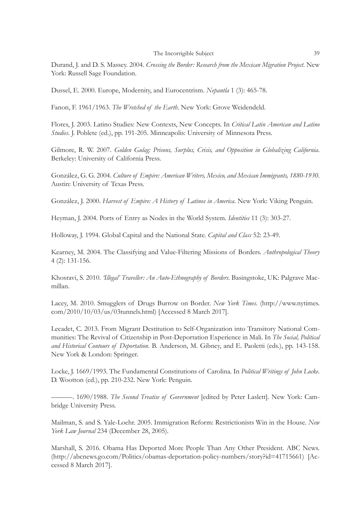#### **The Incorrigible Subject** 39

Durand, J. and D. S. Massey. 2004. *Crossing the Border: Research from the Mexican Migration Project*. New York: Russell Sage Foundation.

Dussel, E. 2000. Europe, Modernity, and Eurocentrism. *Nepantla* 1 (3): 465-78.

Fanon, F. 1961/1963. *The Wretched of the Earth*. New York: Grove Weidendeld.

Flores, J. 2003. Latino Studies: New Contexts, New Concepts. In *Critical Latin American and Latino Studies*. J. Poblete (ed.), pp. 191-205. Minneapolis: University of Minnesota Press.

Gilmore, R. W. 2007. *Golden Gulag: Prisons, Surplus, Crisis, and Opposition in Globalizing California*. Berkeley: University of California Press.

González, G. G. 2004. *Culture of Empire: American Writers, Mexico, and Mexican Immigrants, 1880-1930*. Austin: University of Texas Press.

González, J. 2000. *Harvest of Empire: A History of Latinos in America*. New York: Viking Penguin.

Heyman, J. 2004. Ports of Entry as Nodes in the World System. *Identities* 11 (3): 303-27.

Holloway, J. 1994. Global Capital and the National State. *Capital and Class* 52: 23-49.

Kearney, M. 2004. The Classifying and Value-Filtering Missions of Borders. *Anthropological Theory* 4 (2): 131-156.

Khosravi, S. 2010. *'Illegal' Traveller: An Auto-Ethnography of Borders*. Basingstoke, UK: Palgrave Macmillan.

Lacey, M. 2010. Smugglers of Drugs Burrow on Border. *New York Times*. (http://www.nytimes. com/2010/10/03/us/03tunnels.html) [Accessed 8 March 2017].

Lecadet, C. 2013. From Migrant Destitution to Self-Organization into Transitory National Communities: The Revival of Citizenship in Post-Deportation Experience in Mali. In *The Social, Political and Historical Contours of Deportation*. B. Anderson, M. Gibney, and E. Paoletti (eds.), pp. 143-158. New York & London: Springer.

Locke, J. 1669/1993. The Fundamental Constitutions of Carolina. In *Political Writings of John Locke*. D. Wootton (ed.), pp. 210-232. New York: Penguin.

———. 1690/1988. *The Second Treatise of Government* [edited by Peter Laslett]. New York: Cambridge University Press.

Mailman, S. and S. Yale-Loehr. 2005. Immigration Reform: Restrictionists Win in the House. *New York Law Journal* 234 (December 28, 2005).

Marshall, S. 2016. Obama Has Deported More People Than Any Other President. ABC News. (http://abcnews.go.com/Politics/obamas-deportation-policy-numbers/story?id=41715661) [Accessed 8 March 2017].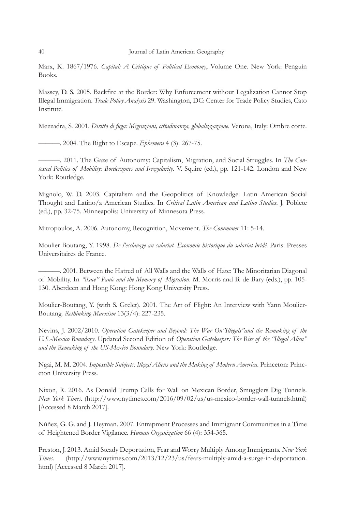Marx, K. 1867/1976. *Capital: A Critique of Political Economy*, Volume One. New York: Penguin Books.

Massey, D. S. 2005. Backfire at the Border: Why Enforcement without Legalization Cannot Stop Illegal Immigration. *Trade Policy Analysis* 29. Washington, DC: Center for Trade Policy Studies, Cato Institute.

Mezzadra, S. 2001. *Diritto di fuga: Migrazioni, cittadinanza, globalizzazione*. Verona, Italy: Ombre corte.

———. 2004. The Right to Escape. *Ephemera* 4 (3): 267-75.

———. 2011. The Gaze of Autonomy: Capitalism, Migration, and Social Struggles. In *The Contested Politics of Mobility: Borderzones and Irregularity*. V. Squire (ed.), pp. 121-142. London and New York: Routledge.

Mignolo, W. D. 2003. Capitalism and the Geopolitics of Knowledge: Latin American Social Thought and Latino/a American Studies. In *Critical Latin American and Latino Studies*. J. Poblete (ed.), pp. 32-75. Minneapolis: University of Minnesota Press.

Mitropoulos, A. 2006. Autonomy, Recognition, Movement. *The Commoner* 11: 5-14.

Moulier Boutang, Y. 1998. *De l'esclavage au salariat. Economie historique du salariat bridé*. Paris: Presses Universitaires de France.

———. 2001. Between the Hatred of All Walls and the Walls of Hate: The Minoritarian Diagonal of Mobility. In *"Race" Panic and the Memory of Migration*. M. Morris and B. de Bary (eds.), pp. 105- 130. Aberdeen and Hong Kong: Hong Kong University Press.

Moulier-Boutang, Y. (with S. Grelet). 2001. The Art of Flight: An Interview with Yann Moulier-Boutang. *Rethinking Marxism* 13(3/4): 227-235.

Nevins, J. 2002/2010. *Operation Gatekeeper and Beyond: The War On"Illegals"and the Remaking of the U.S.-Mexico Boundary*. Updated Second Edition of *Operation Gatekeeper: The Rise of the "Illegal Alien" and the Remaking of the US-Mexico Boundary*. New York: Routledge.

Ngai, M. M. 2004. *Impossible Subjects: Illegal Aliens and the Making of Modern America*. Princeton: Princeton University Press.

Nixon, R. 2016. As Donald Trump Calls for Wall on Mexican Border, Smugglers Dig Tunnels. *New York Times*. (http://www.nytimes.com/2016/09/02/us/us-mexico-border-wall-tunnels.html) [Accessed 8 March 2017].

Núñez, G. G. and J. Heyman. 2007. Entrapment Processes and Immigrant Communities in a Time of Heightened Border Vigilance. *Human Organization* 66 (4): 354-365.

Preston, J. 2013. Amid Steady Deportation, Fear and Worry Multiply Among Immigrants. *New York Times.* (http://www.nytimes.com/2013/12/23/us/fears-multiply-amid-a-surge-in-deportation. html) [Accessed 8 March 2017].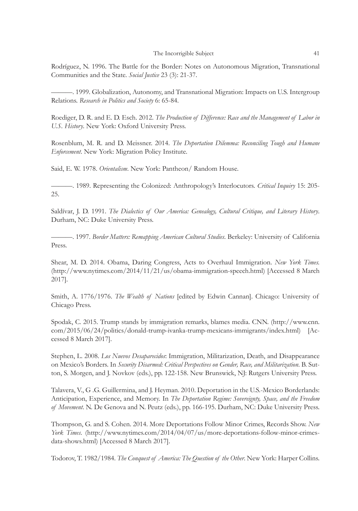Rodríguez, N. 1996. The Battle for the Border: Notes on Autonomous Migration, Transnational Communities and the State. *Social Justice* 23 (3): 21-37.

———. 1999. Globalization, Autonomy, and Transnational Migration: Impacts on U.S. Intergroup Relations. *Research in Politics and Society* 6: 65-84.

Roediger, D. R. and E. D. Esch. 2012. *The Production of Difference: Race and the Management of Labor in U.S. History*. New York: Oxford University Press.

Rosenblum, M. R. and D. Meissner. 2014. *The Deportation Dilemma: Reconciling Tough and Humane Enforcement*. New York: Migration Policy Institute.

Said, E. W. 1978. *Orientalism*. New York: Pantheon/ Random House.

———. 1989. Representing the Colonized: Anthropology's Interlocutors. *Critical Inquiry* 15: 205- 25.

Saldívar, J. D. 1991. *The Dialectics of Our America: Genealogy, Cultural Critique, and Literary History*. Durham, NC: Duke University Press.

———. 1997. *Border Matters: Remapping American Cultural Studies*. Berkeley: University of California Press.

Shear, M. D. 2014. Obama, Daring Congress, Acts to Overhaul Immigration. *New York Times.*  (http://www.nytimes.com/2014/11/21/us/obama-immigration-speech.html) [Accessed 8 March 2017].

Smith, A. 1776/1976. *The Wealth of Nations* [edited by Edwin Cannan]. Chicago: University of Chicago Press.

Spodak, C. 2015. Trump stands by immigration remarks, blames media. CNN. (http://www.cnn. com/2015/06/24/politics/donald-trump-ivanka-trump-mexicans-immigrants/index.html) [Accessed 8 March 2017].

Stephen, L. 2008. *Los Nuevos Desaparecidos*: Immigration, Militarization, Death, and Disappearance on Mexico's Borders. In *Security Disarmed: Critical Perspectives on Gender, Race, and Militarization*. B. Sutton, S. Morgen, and J. Novkov (eds.), pp. 122-158. New Brunswick, NJ: Rutgers University Press.

Talavera, V., G .G. Guillermina, and J. Heyman. 2010. Deportation in the U.S.-Mexico Borderlands: Anticipation, Experience, and Memory. In *The Deportation Regime: Sovereignty, Space, and the Freedom of Movement*. N. De Genova and N. Peutz (eds.), pp. 166-195. Durham, NC: Duke University Press.

Thompson, G. and S. Cohen. 2014. More Deportations Follow Minor Crimes, Records Show. *New York Times*. (http://www.nytimes.com/2014/04/07/us/more-deportations-follow-minor-crimesdata-shows.html) [Accessed 8 March 2017].

Todorov, T. 1982/1984. *The Conquest of America: The Question of the Other*. New York: Harper Collins.